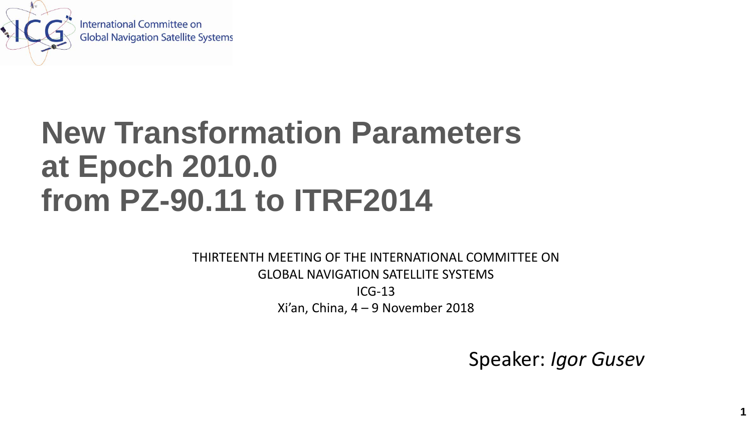

International Committee on **Global Navigation Satellite Systems** 

# **New Transformation Parameters at Epoch 2010.0 from PZ-90.11 to ITRF2014**

THIRTEENTH MEETING OF THE INTERNATIONAL COMMITTEE ON GLOBAL NAVIGATION SATELLITE SYSTEMS ICG-13 Xi'an, China, 4 – 9 November 2018

Speaker: *Igor Gusev*

**1**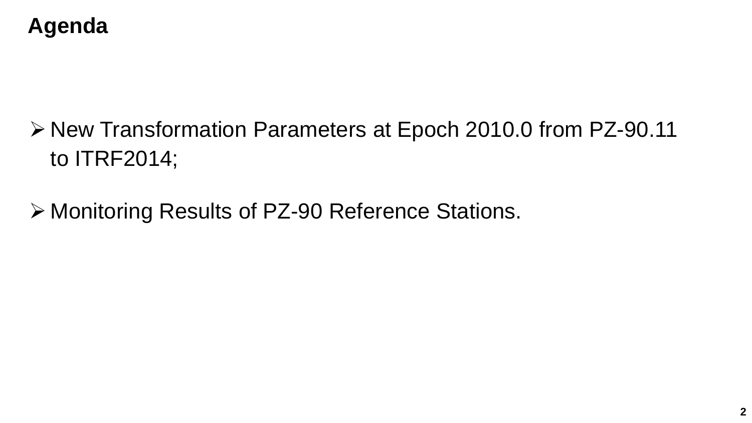

# ▶ New Transformation Parameters at Epoch 2010.0 from PZ-90.11 to ITRF2014;

Monitoring Results of PZ-90 Reference Stations.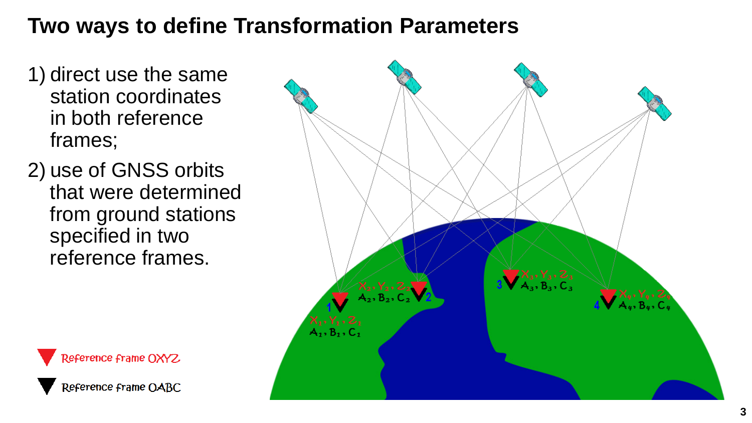### **Two ways to define Transformation Parameters**

- 1) direct use the same station coordinates in both reference frames;
- 2) use of GNSS orbits that were determined from ground stations specified in two reference frames.

Reference frame OXYZ

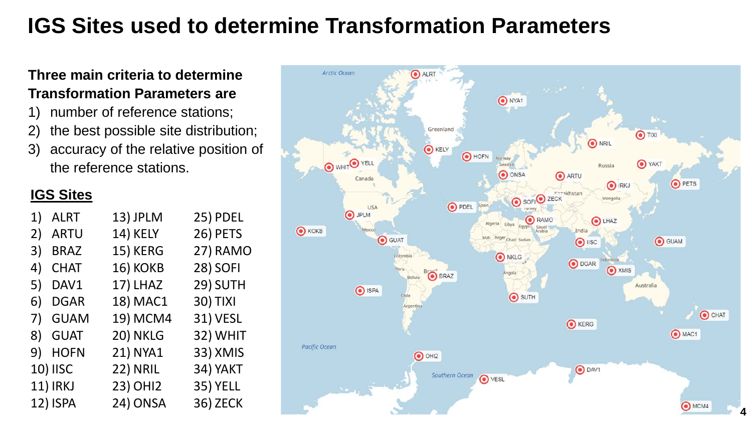### **IGS Sites used to determine Transformation Parameters**

#### **Three main criteria to determine Transformation Parameters are**

- 1) number of reference stations;
- 2) the best possible site distribution;
- 3) accuracy of the relative position of the reference stations.

#### **IGS Sites**

| 1) | <b>ALRT</b> | 13) JPLM        | <b>25) PDEL</b> |
|----|-------------|-----------------|-----------------|
| 2) | <b>ARTU</b> | 14) KELY        | <b>26) PETS</b> |
| 3) | <b>BRAZ</b> | <b>15) KERG</b> | 27) RAMO        |
| 4) | <b>CHAT</b> | <b>16) KOKB</b> | <b>28) SOFI</b> |
| 5) | DAV1        | <b>17) LHAZ</b> | 29) SUTH        |
| 6) | <b>DGAR</b> | 18) MAC1        | <b>30) TIXI</b> |
| 7) | <b>GUAM</b> | 19) MCM4        | <b>31) VESL</b> |
| 8) | <b>GUAT</b> | 20) NKLG        | <b>32) WHIT</b> |
| 9) | <b>HOFN</b> | 21) NYA1        | 33) XMIS        |
|    | 10) IISC    | <b>22) NRIL</b> | <b>34) YAKT</b> |
|    | 11) IRKJ    | 23) OHI2        | <b>35) YELL</b> |
|    | 12) ISPA    | 24) ONSA        | <b>36) ZECK</b> |
|    |             |                 |                 |

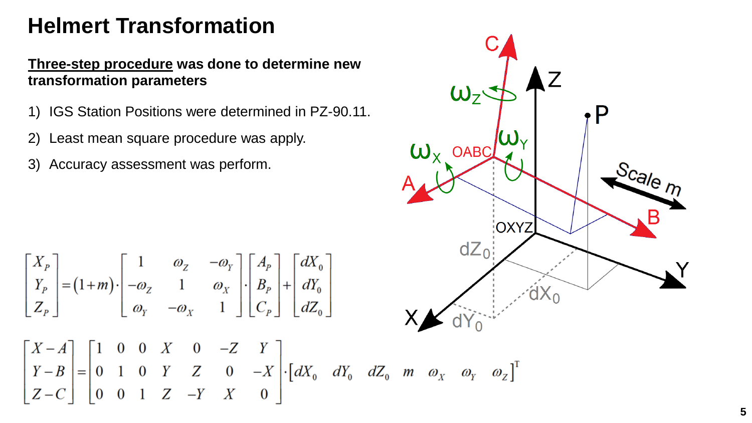# **Helmert Transformation**

#### **Three-step procedure was done to determine new transformation parameters**

- 1) IGS Station Positions were determined in PZ-90.11.
- 2) Least mean square procedure was apply.
- 3) Accuracy assessment was perform.

$$
\begin{bmatrix} X_P \\ Y_P \\ Z_P \end{bmatrix} = (1+m) \cdot \begin{bmatrix} 1 & \omega_Z & -\omega_Y \\ -\omega_Z & 1 & \omega_X \\ \omega_Y & -\omega_X & 1 \end{bmatrix} \cdot \begin{bmatrix} A_P \\ B_P \\ C_P \end{bmatrix} + \begin{bmatrix} dX_0 \\ dY_0 \\ dZ_0 \end{bmatrix}
$$

$$
\begin{bmatrix} X-A \\ Y-B \\ Z-C \end{bmatrix} = \begin{bmatrix} 1 & 0 & 0 & X & 0 & -Z & Y \\ 0 & 1 & 0 & Y & Z & 0 & -X \\ 0 & 0 & 1 & Z & -Y & X & 0 \end{bmatrix} \cdot \begin{bmatrix} dX_0 & dY_0 & dZ_0 & m & \omega_X & \omega_Y & \omega_Z \end{bmatrix}
$$

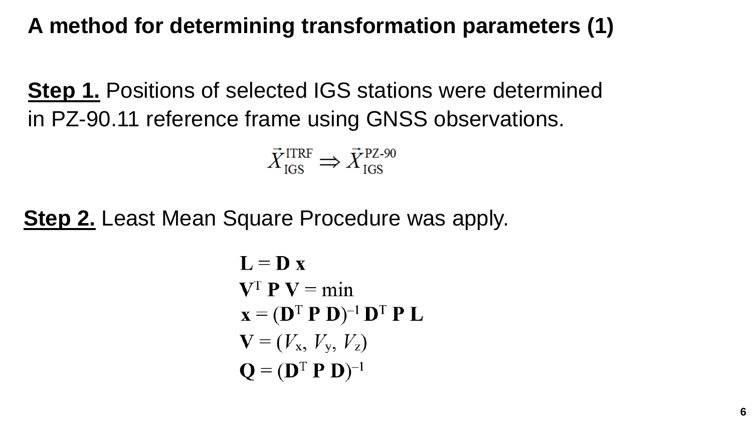**A method for determining transformation parameters (1)**

**Step 1.** Positions of selected IGS stations were determined in PZ-90.11 reference frame using GNSS observations.

$$
\vec{X}_{\text{IGS}}^{\text{ITRF}} \Rightarrow \vec{X}_{\text{IGS}}^{\text{PZ-90}}
$$

**Step 2.** Least Mean Square Procedure was apply.

$$
L = D x
$$
  
\n
$$
VT P V = min
$$
  
\n
$$
x = (DT P D)-1 DT P L
$$
  
\n
$$
V = (Vx, Vy, Vz)
$$
  
\n
$$
Q = (DT P D)-1
$$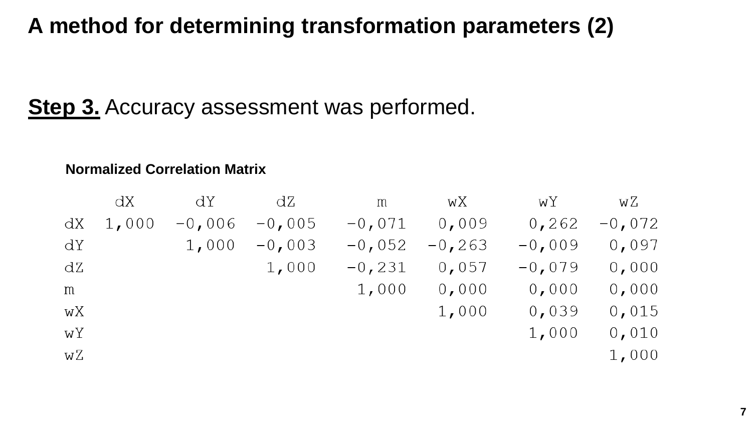### **A method for determining transformation parameters (2)**

### **Step 3.** Accuracy assessment was performed.

#### **Normalized Correlation Matrix**

|    | dX    | dY       | dZ       | m        | wХ        | wΥ       | wΖ       |
|----|-------|----------|----------|----------|-----------|----------|----------|
| dX | 1,000 | $-0,006$ | $-0,005$ | $-0,071$ | 0,009     | 0,262    | $-0,072$ |
| dY |       | 1,000    | $-0,003$ | $-0,052$ | $-0, 263$ | $-0,009$ | 0,097    |
| dZ |       |          | 1,000    | $-0,231$ | 0,057     | $-0,079$ | 0,000    |
| m  |       |          |          | 1,000    | 0,000     | 0,000    | 0,000    |
| wХ |       |          |          |          | 1,000     | 0,039    | 0,015    |
| wY |       |          |          |          |           | 1,000    | 0,010    |
| wΖ |       |          |          |          |           |          | 1,000    |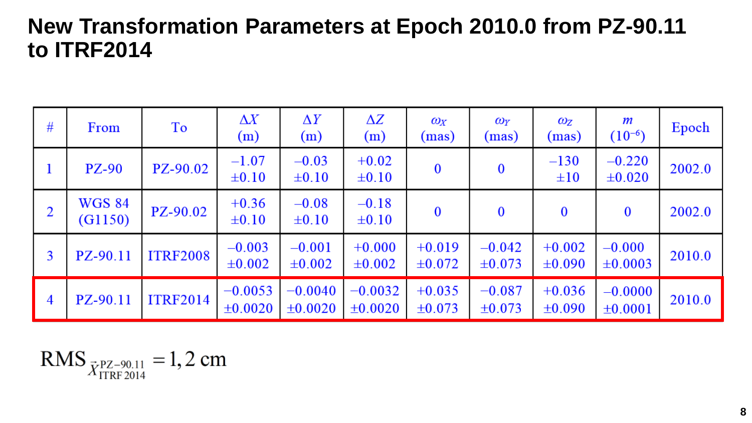#### **New Transformation Parameters at Epoch 2010.0 from PZ-90.11 to ITRF2014**

| #              | From                     | To              | $\Delta X$<br>(m)       | $\Delta Y$<br>(m)       | $\Delta Z$<br>(m)       | $\omega_X$<br>(mas)     | $\omega_Y$<br>(mas)     | $\omega_{Z}$<br>(mas)   | m<br>$(10^{-6})$         | Epoch  |
|----------------|--------------------------|-----------------|-------------------------|-------------------------|-------------------------|-------------------------|-------------------------|-------------------------|--------------------------|--------|
| 1              | <b>PZ-90</b>             | <b>PZ-90.02</b> | $-1.07$<br>$\pm 0.10$   | $-0.03$<br>$\pm 0.10$   | $+0.02$<br>$\pm 0.10$   | $\bf{0}$                | $\bf{0}$                | $-130$<br>±10           | $-0.220$<br>$\pm 0.020$  | 2002.0 |
| $\overline{2}$ | <b>WGS 84</b><br>(G1150) | <b>PZ-90.02</b> | $+0.36$<br>$\pm 0.10$   | $-0.08$<br>$\pm 0.10$   | $-0.18$<br>$\pm 0.10$   | $\bf{0}$                | $\bf{0}$                | $\bf{0}$                | $\bf{0}$                 | 2002.0 |
| 3              | PZ-90.11                 | <b>ITRF2008</b> | $-0.003$<br>$\pm 0.002$ | $-0.001$<br>$\pm 0.002$ | $+0.000$<br>$\pm 0.002$ | $+0.019$<br>$\pm 0.072$ | $-0.042$<br>$\pm 0.073$ | $+0.002$<br>±0.090      | $-0.000$<br>$\pm 0.0003$ | 2010.0 |
| 4              | PZ-90.11                 | <b>ITRF2014</b> | $-0.0053$<br>±0.0020    | $-0.0040$<br>±0.0020    | $-0.0032$<br>±0.0020    | $+0.035$<br>$\pm 0.073$ | $-0.087$<br>$\pm 0.073$ | $+0.036$<br>$\pm 0.090$ | $-0.0000$<br>±0.0001     | 2010.0 |

RMS 
$$
\bar{X}_{ITRF2014}^{PZ-90.11} = 1, 2 \text{ cm}
$$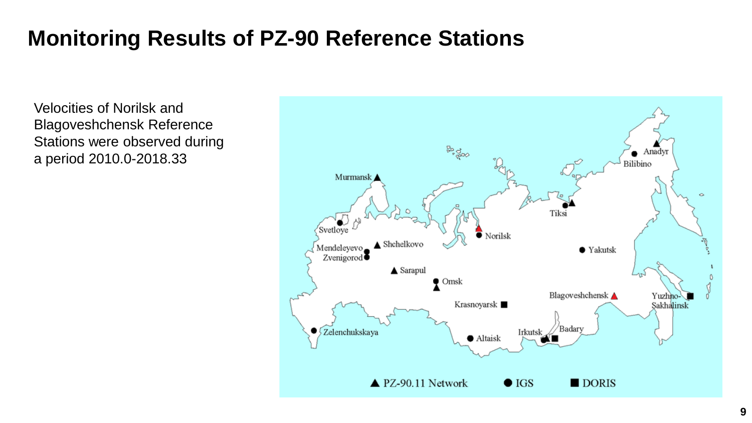### **Monitoring Results of PZ-90 Reference Stations**

Velocities of Norilsk and Blagoveshchensk Reference Stations were observed during a period 2010.0-2018.33

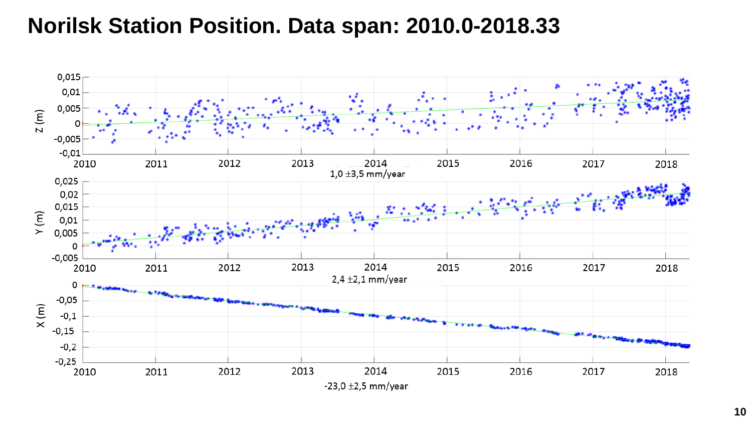#### **Norilsk Station Position. Data span: 2010.0-2018.33**

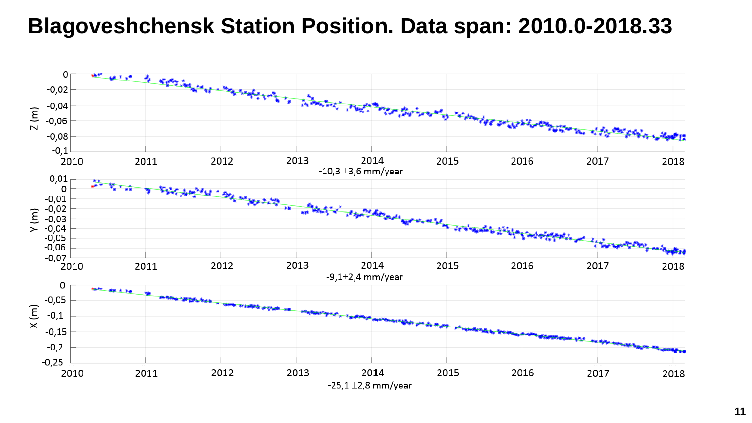#### **Blagoveshchensk Station Position. Data span: 2010.0-2018.33**

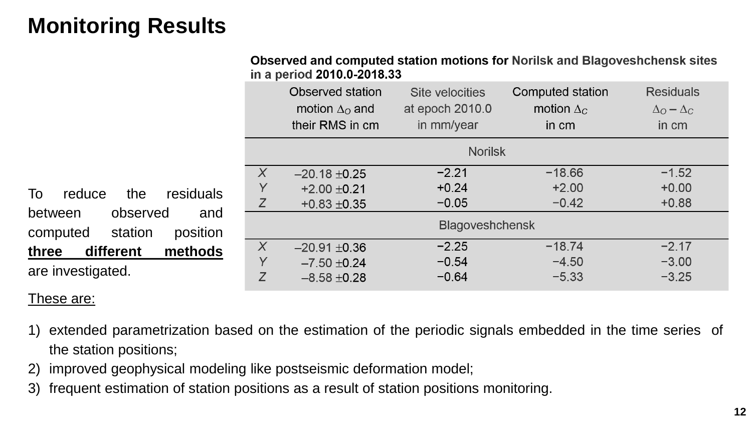# **Monitoring Results**

Observed and computed station motions for Norilsk and Blagoveshchensk sites in a period 2010.0-2018.33

|                                                               | Observed station<br>motion $\Delta_{\rm O}$ and<br>their RMS in cm | Site velocities<br>at epoch 2010.0<br>in mm/year | Computed station<br>motion $\Delta_C$<br>in cm | <b>Residuals</b><br>$\Delta_{\rm O} - \Delta_{\rm C}$<br>in cm |  |  |
|---------------------------------------------------------------|--------------------------------------------------------------------|--------------------------------------------------|------------------------------------------------|----------------------------------------------------------------|--|--|
|                                                               | <b>Norilsk</b>                                                     |                                                  |                                                |                                                                |  |  |
| $\times$                                                      | $-20.18 + 0.25$                                                    | $-2.21$                                          | $-18.66$                                       | $-1.52$                                                        |  |  |
| To<br>residuals<br>reduce<br>the                              | Y<br>$+2.00 + 0.21$                                                | $+0.24$                                          | $+2.00$                                        | $+0.00$                                                        |  |  |
|                                                               | $+0.83 + 0.35$                                                     | $-0.05$                                          | $-0.42$                                        | $+0.88$                                                        |  |  |
| between<br>observed<br>and<br>position<br>station<br>computed | <b>Blagoveshchensk</b>                                             |                                                  |                                                |                                                                |  |  |
| $\times$<br>three<br>methods<br>different                     | $-20.91 + 0.36$                                                    | $-2.25$                                          | $-18.74$                                       | $-2.17$                                                        |  |  |
|                                                               | $\checkmark$<br>$-7.50 + 0.24$                                     | $-0.54$                                          | $-4.50$                                        | $-3.00$                                                        |  |  |
| are investigated.                                             | $-8.58 + 0.28$                                                     | $-0.64$                                          | $-5.33$                                        | $-3.25$                                                        |  |  |

#### These are:

- 1) extended parametrization based on the estimation of the periodic signals embedded in the time series of the station positions;
- 2) improved geophysical modeling like postseismic deformation model;
- 3) frequent estimation of station positions as a result of station positions monitoring.